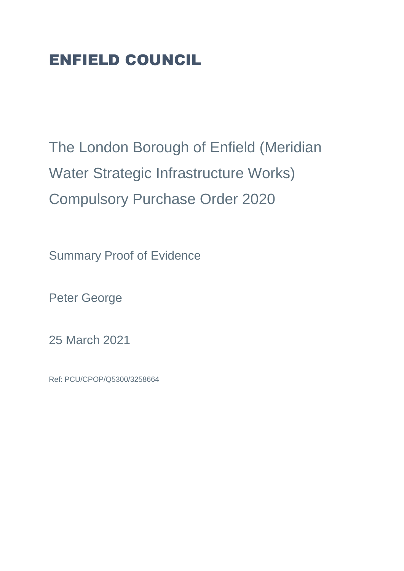## ENFIELD COUNCIL

The London Borough of Enfield (Meridian Water Strategic Infrastructure Works) Compulsory Purchase Order 2020

Summary Proof of Evidence

Peter George

25 March 2021

Ref: PCU/CPOP/Q5300/3258664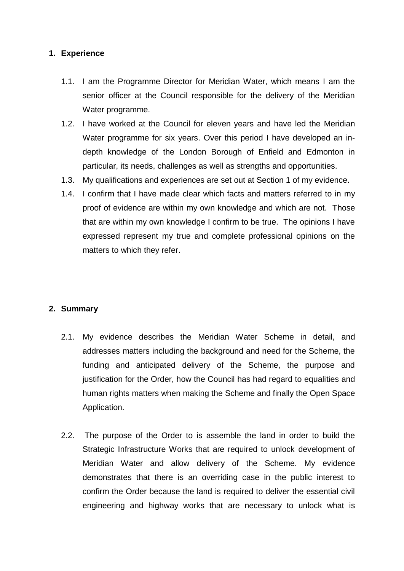## **1. Experience**

- 1.1. I am the Programme Director for Meridian Water, which means I am the senior officer at the Council responsible for the delivery of the Meridian Water programme.
- 1.2. I have worked at the Council for eleven years and have led the Meridian Water programme for six years. Over this period I have developed an indepth knowledge of the London Borough of Enfield and Edmonton in particular, its needs, challenges as well as strengths and opportunities.
- 1.3. My qualifications and experiences are set out at Section 1 of my evidence.
- 1.4. I confirm that I have made clear which facts and matters referred to in my proof of evidence are within my own knowledge and which are not. Those that are within my own knowledge I confirm to be true. The opinions I have expressed represent my true and complete professional opinions on the matters to which they refer.

## **2. Summary**

- 2.1. My evidence describes the Meridian Water Scheme in detail, and addresses matters including the background and need for the Scheme, the funding and anticipated delivery of the Scheme, the purpose and justification for the Order, how the Council has had regard to equalities and human rights matters when making the Scheme and finally the Open Space Application.
- 2.2. The purpose of the Order to is assemble the land in order to build the Strategic Infrastructure Works that are required to unlock development of Meridian Water and allow delivery of the Scheme. My evidence demonstrates that there is an overriding case in the public interest to confirm the Order because the land is required to deliver the essential civil engineering and highway works that are necessary to unlock what is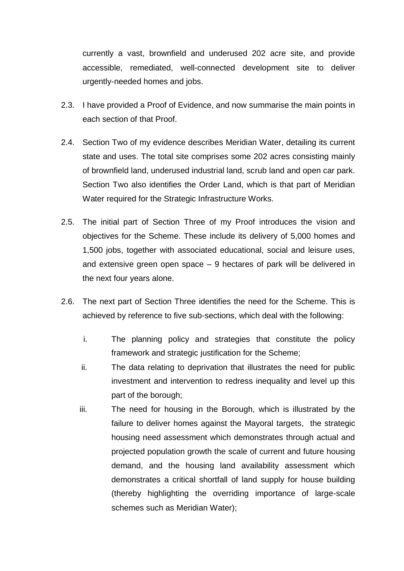currently a vast, brownfield and underused 202 acre site, and provide accessible, remediated, well-connected development site to deliver urgently-needed homes and jobs.

- 2.3. I have provided a Proof of Evidence, and now summarise the main points in each section of that Proof.
- 2.4. Section Two of my evidence describes Meridian Water, detailing its current state and uses. The total site comprises some 202 acres consisting mainly of brownfield land, underused industrial land, scrub land and open car park. Section Two also identifies the Order Land, which is that part of Meridian Water required for the Strategic Infrastructure Works.
- 2.5. The initial part of Section Three of my Proof introduces the vision and objectives for the Scheme. These include its delivery of 5,000 homes and 1,500 jobs, together with associated educational, social and leisure uses, and extensive green open space – 9 hectares of park will be delivered in the next four years alone.
- 2.6. The next part of Section Three identifies the need for the Scheme. This is achieved by reference to five sub-sections, which deal with the following:
	- i. The planning policy and strategies that constitute the policy framework and strategic justification for the Scheme;
	- ii. The data relating to deprivation that illustrates the need for public investment and intervention to redress inequality and level up this part of the borough;
	- iii. The need for housing in the Borough, which is illustrated by the failure to deliver homes against the Mayoral targets, the strategic housing need assessment which demonstrates through actual and projected population growth the scale of current and future housing demand, and the housing land availability assessment which demonstrates a critical shortfall of land supply for house building (thereby highlighting the overriding importance of large-scale schemes such as Meridian Water);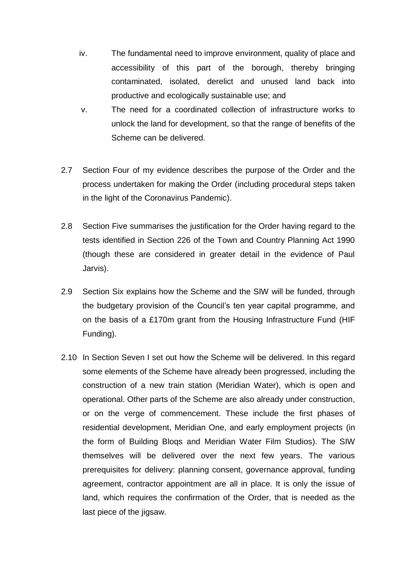- iv. The fundamental need to improve environment, quality of place and accessibility of this part of the borough, thereby bringing contaminated, isolated, derelict and unused land back into productive and ecologically sustainable use; and
- v. The need for a coordinated collection of infrastructure works to unlock the land for development, so that the range of benefits of the Scheme can be delivered.
- 2.7 Section Four of my evidence describes the purpose of the Order and the process undertaken for making the Order (including procedural steps taken in the light of the Coronavirus Pandemic).
- 2.8 Section Five summarises the justification for the Order having regard to the tests identified in Section 226 of the Town and Country Planning Act 1990 (though these are considered in greater detail in the evidence of Paul Jarvis).
- 2.9 Section Six explains how the Scheme and the SIW will be funded, through the budgetary provision of the Council's ten year capital programme, and on the basis of a £170m grant from the Housing Infrastructure Fund (HIF Funding).
- 2.10 In Section Seven I set out how the Scheme will be delivered. In this regard some elements of the Scheme have already been progressed, including the construction of a new train station (Meridian Water), which is open and operational. Other parts of the Scheme are also already under construction, or on the verge of commencement. These include the first phases of residential development, Meridian One, and early employment projects (in the form of Building Bloqs and Meridian Water Film Studios). The SIW themselves will be delivered over the next few years. The various prerequisites for delivery: planning consent, governance approval, funding agreement, contractor appointment are all in place. It is only the issue of land, which requires the confirmation of the Order, that is needed as the last piece of the jigsaw.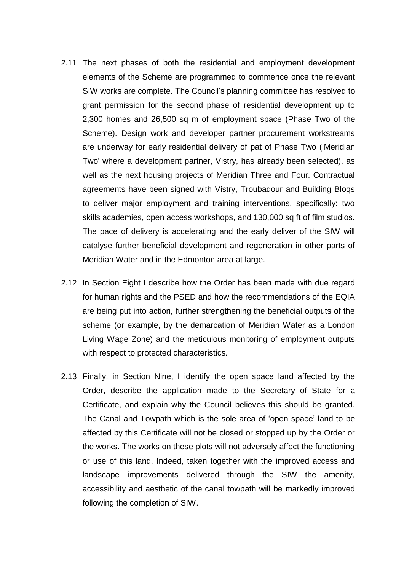- 2.11 The next phases of both the residential and employment development elements of the Scheme are programmed to commence once the relevant SIW works are complete. The Council's planning committee has resolved to grant permission for the second phase of residential development up to 2,300 homes and 26,500 sq m of employment space (Phase Two of the Scheme). Design work and developer partner procurement workstreams are underway for early residential delivery of pat of Phase Two ('Meridian Two' where a development partner, Vistry, has already been selected), as well as the next housing projects of Meridian Three and Four. Contractual agreements have been signed with Vistry, Troubadour and Building Bloqs to deliver major employment and training interventions, specifically: two skills academies, open access workshops, and 130,000 sq ft of film studios. The pace of delivery is accelerating and the early deliver of the SIW will catalyse further beneficial development and regeneration in other parts of Meridian Water and in the Edmonton area at large.
- 2.12 In Section Eight I describe how the Order has been made with due regard for human rights and the PSED and how the recommendations of the EQIA are being put into action, further strengthening the beneficial outputs of the scheme (or example, by the demarcation of Meridian Water as a London Living Wage Zone) and the meticulous monitoring of employment outputs with respect to protected characteristics.
- 2.13 Finally, in Section Nine, I identify the open space land affected by the Order, describe the application made to the Secretary of State for a Certificate, and explain why the Council believes this should be granted. The Canal and Towpath which is the sole area of 'open space' land to be affected by this Certificate will not be closed or stopped up by the Order or the works. The works on these plots will not adversely affect the functioning or use of this land. Indeed, taken together with the improved access and landscape improvements delivered through the SIW the amenity, accessibility and aesthetic of the canal towpath will be markedly improved following the completion of SIW.